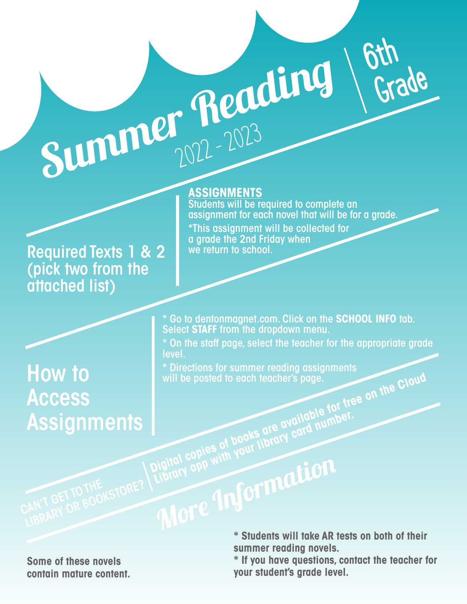Required Texts 1 & 2 (pick two from the attached list)

## **ASSIGNMENTS**

Summer Reading

level.

**ASSIGNMENTS**<br>Students will be required to complete an assignment for each novel that will be for a grade. \*This assignment will be collected for a grade the 2nd Friday when we return to school.

6th

Grade

## How to Access **Assignments**

\* Go to dentonmagnet.com. Click on the **SCHOOL INFO** tab. Select **STAFF** from the dropdown menu. \* On the staff page, select the teacher for the appropriate grade

will be posted to each teacher's page.<br> **Digital copies of books are available for free on the Cloud**<br>
Digital copies of books are available for free on the Cloud<br>
Digital copies of books are available for free on the Clou \* Directions for summer reading assignments will be posted to each teacher's page.

**Library app with your library card number.**<br>Digital copies of books are available.

**Some of these novels contain mature content.** More Information **\* Students will take AR tests on both of their summer reading novels.**

> **\* If you have questions, contact the teacher for your student's grade level.**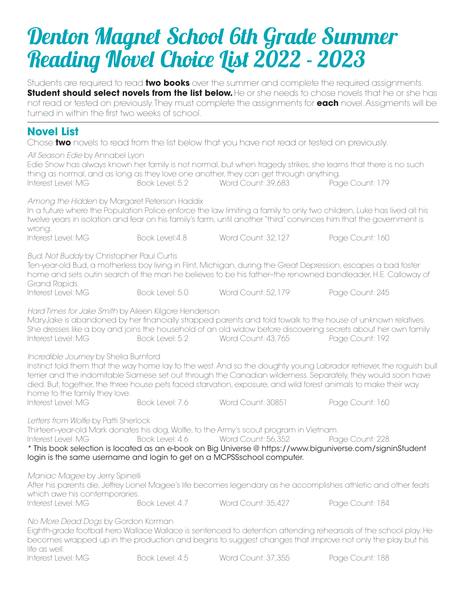## Denton Magnet School 6th Grade Summer Reading Novel Choice List 2022 - 2023

Students are required to read **two books** over the summer and complete the required assignments. **Student should select novels from the list below.** He or she needs to chose novels that he or she has not read or tested on previously. They must complete the assignments for **each** novel. Assigments will be turned in within the first two weeks of school.

## **Novel List**

Chose **two** novels to read from the list below that you have not read or tested on previously.

*All Season Edie* by Annabel Lyon

| Interest Level: MG                                                                                                                                                                                                                                                                                   |                 | thing as normal, and as long as they love one another, they can get through anything.<br>Book Level: 5.2 Word Count: 39,683                                                             | Edie Snow has always known her family is not normal, but when tragedy strikes, she learns that there is no such<br>Page Count: 179                                                                                                                                                                                                                      |  |  |
|------------------------------------------------------------------------------------------------------------------------------------------------------------------------------------------------------------------------------------------------------------------------------------------------------|-----------------|-----------------------------------------------------------------------------------------------------------------------------------------------------------------------------------------|---------------------------------------------------------------------------------------------------------------------------------------------------------------------------------------------------------------------------------------------------------------------------------------------------------------------------------------------------------|--|--|
| Among the Hidden by Margaret Peterson Haddix<br>wrong.                                                                                                                                                                                                                                               |                 |                                                                                                                                                                                         | In a future where the Population Police enforce the law limiting a family to only two children, Luke has lived all his<br>twelve years in isolation and fear on his family's farm, until another "third" convinces him that the government is                                                                                                           |  |  |
| Interest Level: MG                                                                                                                                                                                                                                                                                   | Book Level: 4.8 | Word Count: 32,127                                                                                                                                                                      | Page Count: 160                                                                                                                                                                                                                                                                                                                                         |  |  |
| <b>Bud, Not Buddy by Christopher Paul Curtis</b><br>Ten-year-old Bud, a motherless boy living in Flint, Michigan, during the Great Depression, escapes a bad foster<br>home and sets outin search of the man he believes to be his father-the renowned bandleader, H.E. Calloway of<br>Grand Rapids. |                 |                                                                                                                                                                                         |                                                                                                                                                                                                                                                                                                                                                         |  |  |
| Interest Level: MG                                                                                                                                                                                                                                                                                   | Book Level: 5.0 | Word Count: 52,179                                                                                                                                                                      | Page Count: 245                                                                                                                                                                                                                                                                                                                                         |  |  |
| Hard Times for Jake Smith by Aileen Kilgore Henderson<br>Interest Level: MG                                                                                                                                                                                                                          |                 | Book Level: 5.2 Word Count: 43,765                                                                                                                                                      | MaryJake is abandoned by her financially strapped parents and told towalk to the house of unknown relatives.<br>She dresses like a boy and joins the household of an old widow before discovering secrets about her own family.<br>Page Count: 192                                                                                                      |  |  |
| Incredible Journey by Shelia Burnford<br>home to the family they love.                                                                                                                                                                                                                               |                 |                                                                                                                                                                                         | Instinct told them that the way home lay to the west. And so the doughty young Labrador retriever, the roguish bull<br>terrier and the indomitable Siamese set out through the Canadian wilderness. Separately, they would soon have<br>died. But, together, the three house pets faced starvation, exposure, and wild forest animals to make their way |  |  |
| Interest Level: MG                                                                                                                                                                                                                                                                                   | Book Level: 7.6 | Word Count: 30851                                                                                                                                                                       | Page Count: 160                                                                                                                                                                                                                                                                                                                                         |  |  |
| Letters from Wolfie by Patti Sherlock<br>Interest Level: MG                                                                                                                                                                                                                                          | Book Level: 4.6 | Thirteen-year-old Mark donates his dog, Wolfie, to the Army's scout program in Vietnam.<br>Word Count: 56,352<br>login is the same username and login to get on a MCPSSschool computer. | Page Count: 228<br>* This book selection is located as an e-book on Big Universe @ https://www.biguniverse.com/signinStudent                                                                                                                                                                                                                            |  |  |
| Maniac Magee by Jerry Spinelli<br>which awe his contemporaries.                                                                                                                                                                                                                                      |                 |                                                                                                                                                                                         | After his parents die, Jeffrey Lionel Magee's life becomes legendary as he accomplishes athletic and other feats                                                                                                                                                                                                                                        |  |  |
| Interest Level: MG                                                                                                                                                                                                                                                                                   | Book Level: 4.7 | Word Count: 35,427                                                                                                                                                                      | Page Count: 184                                                                                                                                                                                                                                                                                                                                         |  |  |
| No More Dead Dogs by Gordon Korman<br>life as well.                                                                                                                                                                                                                                                  |                 |                                                                                                                                                                                         | Eighth-grade football hero Wallace Wallace is sentenced to detention attending rehearsals of the school play. He<br>becomes wrapped up in the production and begins to suggest changes that improve not only the play but his                                                                                                                           |  |  |
| Interest Level: MG                                                                                                                                                                                                                                                                                   | Book Level: 4.5 | Word Count: 37,355                                                                                                                                                                      | Page Count: 188                                                                                                                                                                                                                                                                                                                                         |  |  |